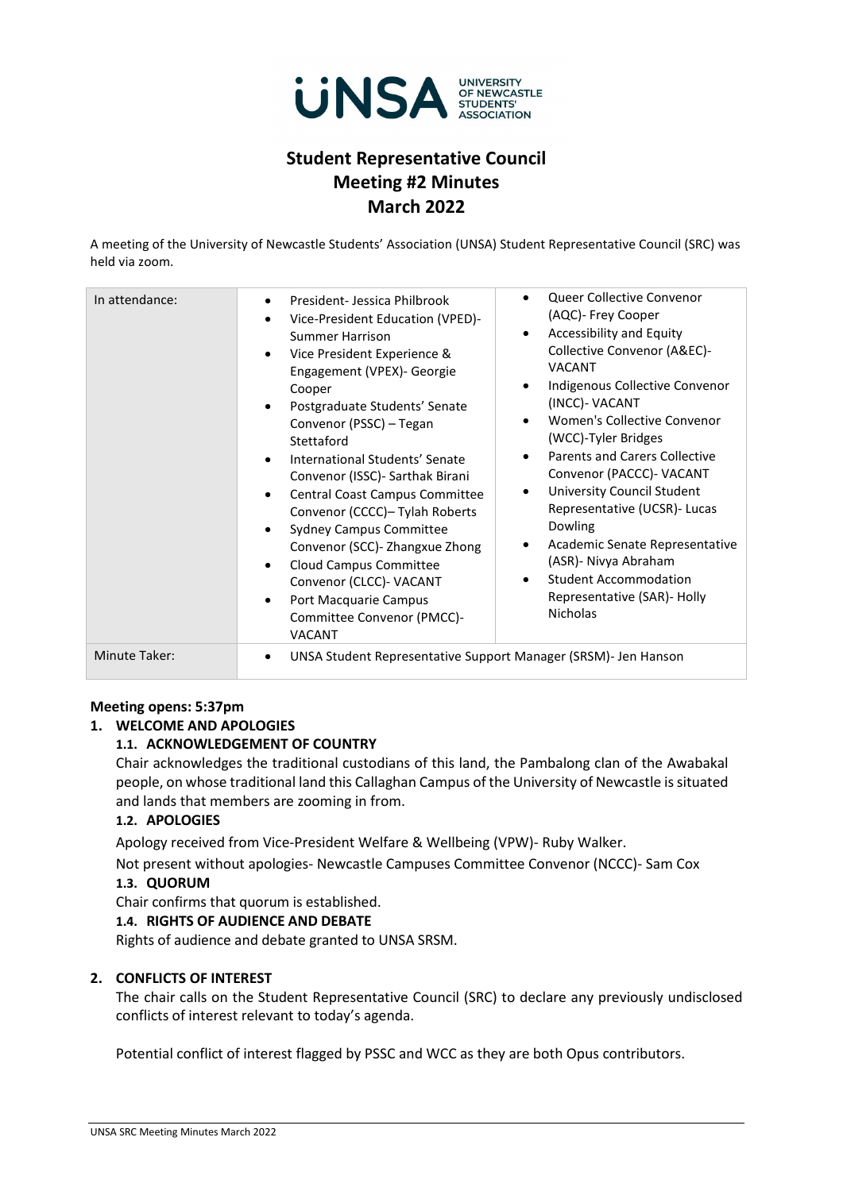

# **Student Representative Council Meeting #2 Minutes March 2022**

A meeting of the University of Newcastle Students' Association (UNSA) Student Representative Council (SRC) was held via zoom.

| In attendance:       | Queer Collective Convenor<br>$\bullet$<br>President- Jessica Philbrook<br>$\bullet$<br>(AQC)- Frey Cooper<br>Vice-President Education (VPED)-<br>$\bullet$<br>Accessibility and Equity<br>$\bullet$<br>Summer Harrison<br>Collective Convenor (A&EC)-<br>Vice President Experience &<br>$\bullet$<br><b>VACANT</b><br>Engagement (VPEX)- Georgie<br>Indigenous Collective Convenor<br>$\bullet$<br>Cooper<br>(INCC)- VACANT<br>Postgraduate Students' Senate<br>$\bullet$<br>Women's Collective Convenor<br>$\bullet$<br>Convenor (PSSC) - Tegan<br>(WCC)-Tyler Bridges<br>Stettaford<br><b>Parents and Carers Collective</b><br>$\bullet$<br>International Students' Senate<br>$\bullet$<br>Convenor (PACCC)- VACANT<br>Convenor (ISSC) - Sarthak Birani<br>University Council Student<br>$\bullet$<br><b>Central Coast Campus Committee</b><br>$\bullet$<br>Representative (UCSR)- Lucas<br>Convenor (CCCC)- Tylah Roberts<br><b>Dowling</b><br><b>Sydney Campus Committee</b><br>$\bullet$<br>Academic Senate Representative<br>$\bullet$<br>Convenor (SCC) - Zhangxue Zhong<br>(ASR)- Nivya Abraham<br>Cloud Campus Committee<br>$\bullet$<br><b>Student Accommodation</b><br>$\bullet$<br>Convenor (CLCC)- VACANT<br>Representative (SAR)- Holly<br>Port Macquarie Campus<br>$\bullet$<br><b>Nicholas</b><br>Committee Convenor (PMCC)-<br><b>VACANT</b> |
|----------------------|---------------------------------------------------------------------------------------------------------------------------------------------------------------------------------------------------------------------------------------------------------------------------------------------------------------------------------------------------------------------------------------------------------------------------------------------------------------------------------------------------------------------------------------------------------------------------------------------------------------------------------------------------------------------------------------------------------------------------------------------------------------------------------------------------------------------------------------------------------------------------------------------------------------------------------------------------------------------------------------------------------------------------------------------------------------------------------------------------------------------------------------------------------------------------------------------------------------------------------------------------------------------------------------------------------------------------------------------------------------|
| <b>Minute Taker:</b> | UNSA Student Representative Support Manager (SRSM)- Jen Hanson<br>٠                                                                                                                                                                                                                                                                                                                                                                                                                                                                                                                                                                                                                                                                                                                                                                                                                                                                                                                                                                                                                                                                                                                                                                                                                                                                                           |

#### **Meeting opens: 5:37pm**

## **1. WELCOME AND APOLOGIES**

## **1.1. ACKNOWLEDGEMENT OF COUNTRY**

Chair acknowledges the traditional custodians of this land, the Pambalong clan of the Awabakal people, on whose traditional land this Callaghan Campus of the University of Newcastle is situated and lands that members are zooming in from.

#### **1.2. APOLOGIES**

Apology received from Vice-President Welfare & Wellbeing (VPW)- Ruby Walker.

Not present without apologies- Newcastle Campuses Committee Convenor (NCCC)- Sam Cox

#### **1.3. QUORUM**

Chair confirms that quorum is established.

#### **1.4. RIGHTS OF AUDIENCE AND DEBATE**

Rights of audience and debate granted to UNSA SRSM.

### **2. CONFLICTS OF INTEREST**

The chair calls on the Student Representative Council (SRC) to declare any previously undisclosed conflicts of interest relevant to today's agenda.

Potential conflict of interest flagged by PSSC and WCC as they are both Opus contributors.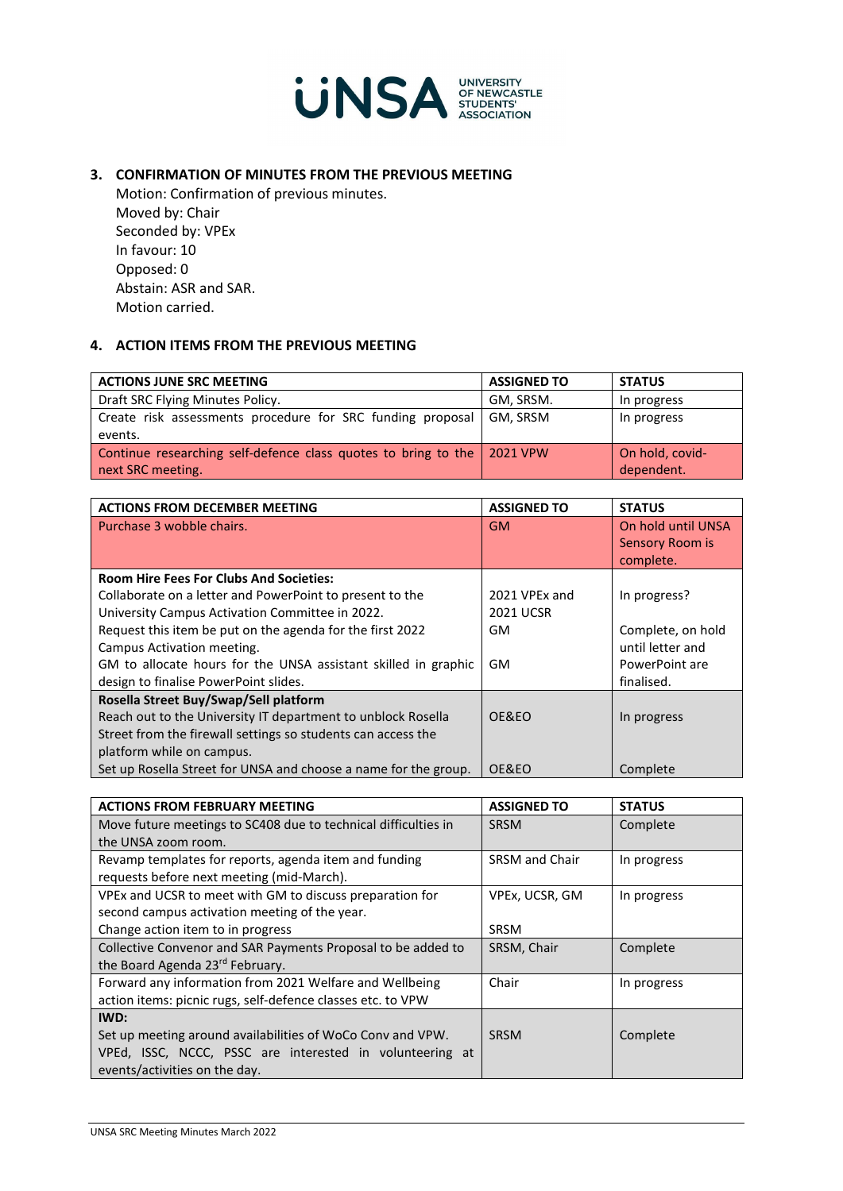

## **3. CONFIRMATION OF MINUTES FROM THE PREVIOUS MEETING**

Motion: Confirmation of previous minutes. Moved by: Chair Seconded by: VPEx In favour: 10 Opposed: 0 Abstain: ASR and SAR. Motion carried.

## **4. ACTION ITEMS FROM THE PREVIOUS MEETING**

| <b>ACTIONS JUNE SRC MEETING</b>                                                              | <b>ASSIGNED TO</b> | <b>STATUS</b>                 |
|----------------------------------------------------------------------------------------------|--------------------|-------------------------------|
| Draft SRC Flying Minutes Policy.                                                             | GM, SRSM.          | In progress                   |
| Create risk assessments procedure for SRC funding proposal<br>events.                        | GM, SRSM           | In progress                   |
| Continue researching self-defence class quotes to bring to the 2021 VPW<br>next SRC meeting. |                    | On hold, covid-<br>dependent. |

| <b>ACTIONS FROM DECEMBER MEETING</b>                            | <b>ASSIGNED TO</b> | <b>STATUS</b>      |
|-----------------------------------------------------------------|--------------------|--------------------|
| Purchase 3 wobble chairs.                                       | <b>GM</b>          | On hold until UNSA |
|                                                                 |                    | Sensory Room is    |
|                                                                 |                    | complete.          |
| <b>Room Hire Fees For Clubs And Societies:</b>                  |                    |                    |
| Collaborate on a letter and PowerPoint to present to the        | 2021 VPEx and      | In progress?       |
| University Campus Activation Committee in 2022.                 | <b>2021 UCSR</b>   |                    |
| Request this item be put on the agenda for the first 2022       | GM                 | Complete, on hold  |
| Campus Activation meeting.                                      |                    | until letter and   |
| GM to allocate hours for the UNSA assistant skilled in graphic  | GM                 | PowerPoint are     |
| design to finalise PowerPoint slides.                           |                    | finalised.         |
| Rosella Street Buy/Swap/Sell platform                           |                    |                    |
| Reach out to the University IT department to unblock Rosella    | OE&EO              | In progress        |
| Street from the firewall settings so students can access the    |                    |                    |
| platform while on campus.                                       |                    |                    |
| Set up Rosella Street for UNSA and choose a name for the group. | OE&EO              | Complete           |

| <b>ACTIONS FROM FEBRUARY MEETING</b>                           | <b>ASSIGNED TO</b>    | <b>STATUS</b> |
|----------------------------------------------------------------|-----------------------|---------------|
| Move future meetings to SC408 due to technical difficulties in | <b>SRSM</b>           | Complete      |
| the UNSA zoom room.                                            |                       |               |
| Revamp templates for reports, agenda item and funding          | <b>SRSM</b> and Chair | In progress   |
| requests before next meeting (mid-March).                      |                       |               |
| VPEx and UCSR to meet with GM to discuss preparation for       | VPEx, UCSR, GM        | In progress   |
| second campus activation meeting of the year.                  |                       |               |
| Change action item to in progress                              | <b>SRSM</b>           |               |
| Collective Convenor and SAR Payments Proposal to be added to   | SRSM, Chair           | Complete      |
| the Board Agenda 23rd February.                                |                       |               |
| Forward any information from 2021 Welfare and Wellbeing        | Chair                 | In progress   |
| action items: picnic rugs, self-defence classes etc. to VPW    |                       |               |
| IWD:                                                           |                       |               |
| Set up meeting around availabilities of WoCo Conv and VPW.     | <b>SRSM</b>           | Complete      |
| VPEd, ISSC, NCCC, PSSC are interested in volunteering at       |                       |               |
| events/activities on the day.                                  |                       |               |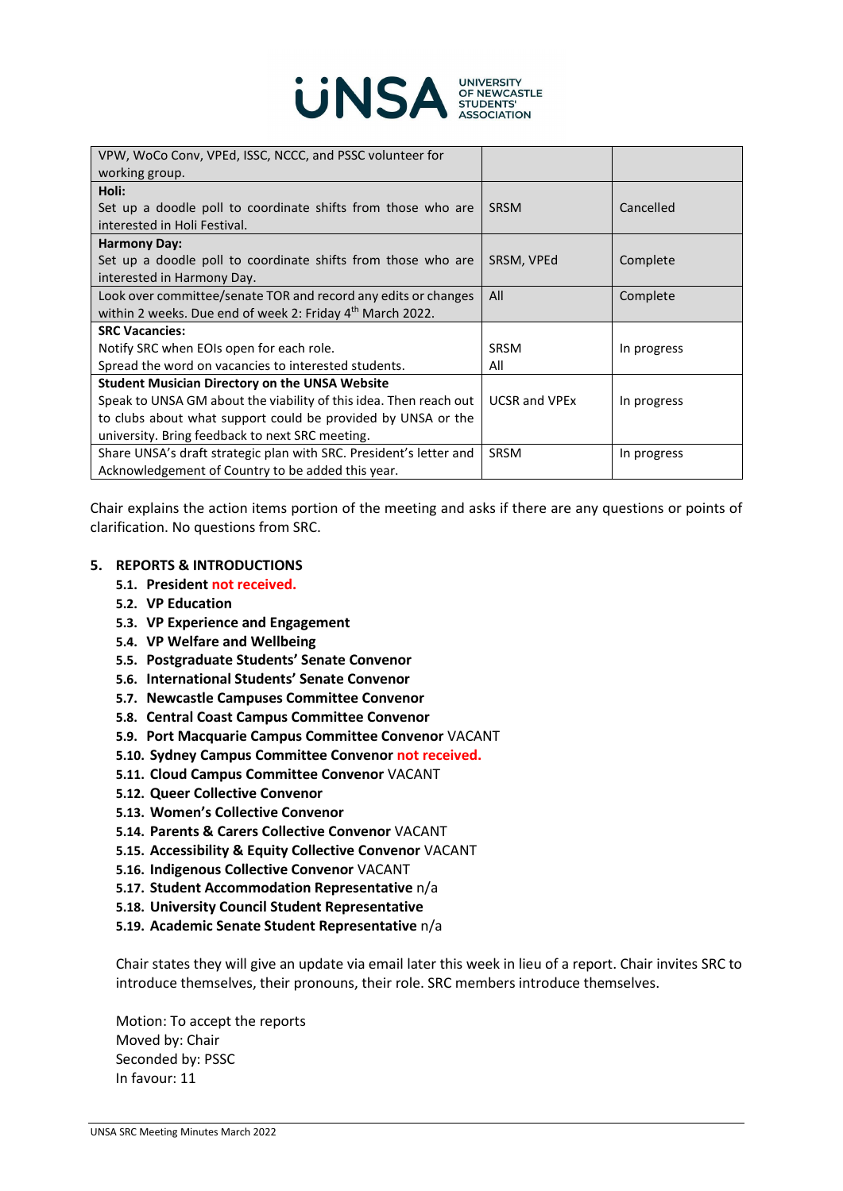

| VPW, WoCo Conv, VPEd, ISSC, NCCC, and PSSC volunteer for              |                      |             |
|-----------------------------------------------------------------------|----------------------|-------------|
| working group.                                                        |                      |             |
| Holi:                                                                 |                      |             |
| Set up a doodle poll to coordinate shifts from those who are          | <b>SRSM</b>          | Cancelled   |
| interested in Holi Festival.                                          |                      |             |
| <b>Harmony Day:</b>                                                   |                      |             |
| Set up a doodle poll to coordinate shifts from those who are          | SRSM, VPEd           | Complete    |
| interested in Harmony Day.                                            |                      |             |
| Look over committee/senate TOR and record any edits or changes        | All                  | Complete    |
| within 2 weeks. Due end of week 2: Friday 4 <sup>th</sup> March 2022. |                      |             |
| <b>SRC Vacancies:</b>                                                 |                      |             |
| Notify SRC when EOIs open for each role.                              | <b>SRSM</b>          | In progress |
| Spread the word on vacancies to interested students.                  | All                  |             |
| <b>Student Musician Directory on the UNSA Website</b>                 |                      |             |
| Speak to UNSA GM about the viability of this idea. Then reach out     | <b>UCSR and VPEx</b> | In progress |
| to clubs about what support could be provided by UNSA or the          |                      |             |
| university. Bring feedback to next SRC meeting.                       |                      |             |
| Share UNSA's draft strategic plan with SRC. President's letter and    | <b>SRSM</b>          | In progress |
| Acknowledgement of Country to be added this year.                     |                      |             |

Chair explains the action items portion of the meeting and asks if there are any questions or points of clarification. No questions from SRC.

#### **5. REPORTS & INTRODUCTIONS**

- **5.1. President not received.**
- **5.2. VP Education**
- **5.3. VP Experience and Engagement**
- **5.4. VP Welfare and Wellbeing**
- **5.5. Postgraduate Students' Senate Convenor**
- **5.6. International Students' Senate Convenor**
- **5.7. Newcastle Campuses Committee Convenor**
- **5.8. Central Coast Campus Committee Convenor**
- **5.9. Port Macquarie Campus Committee Convenor** VACANT
- **5.10. Sydney Campus Committee Convenor not received.**
- **5.11. Cloud Campus Committee Convenor** VACANT
- **5.12. Queer Collective Convenor**
- **5.13. Women's Collective Convenor**
- **5.14. Parents & Carers Collective Convenor** VACANT
- **5.15. Accessibility & Equity Collective Convenor** VACANT
- **5.16. Indigenous Collective Convenor** VACANT
- **5.17. Student Accommodation Representative** n/a
- **5.18. University Council Student Representative**
- **5.19. Academic Senate Student Representative** n/a

Chair states they will give an update via email later this week in lieu of a report. Chair invites SRC to introduce themselves, their pronouns, their role. SRC members introduce themselves.

Motion: To accept the reports Moved by: Chair Seconded by: PSSC In favour: 11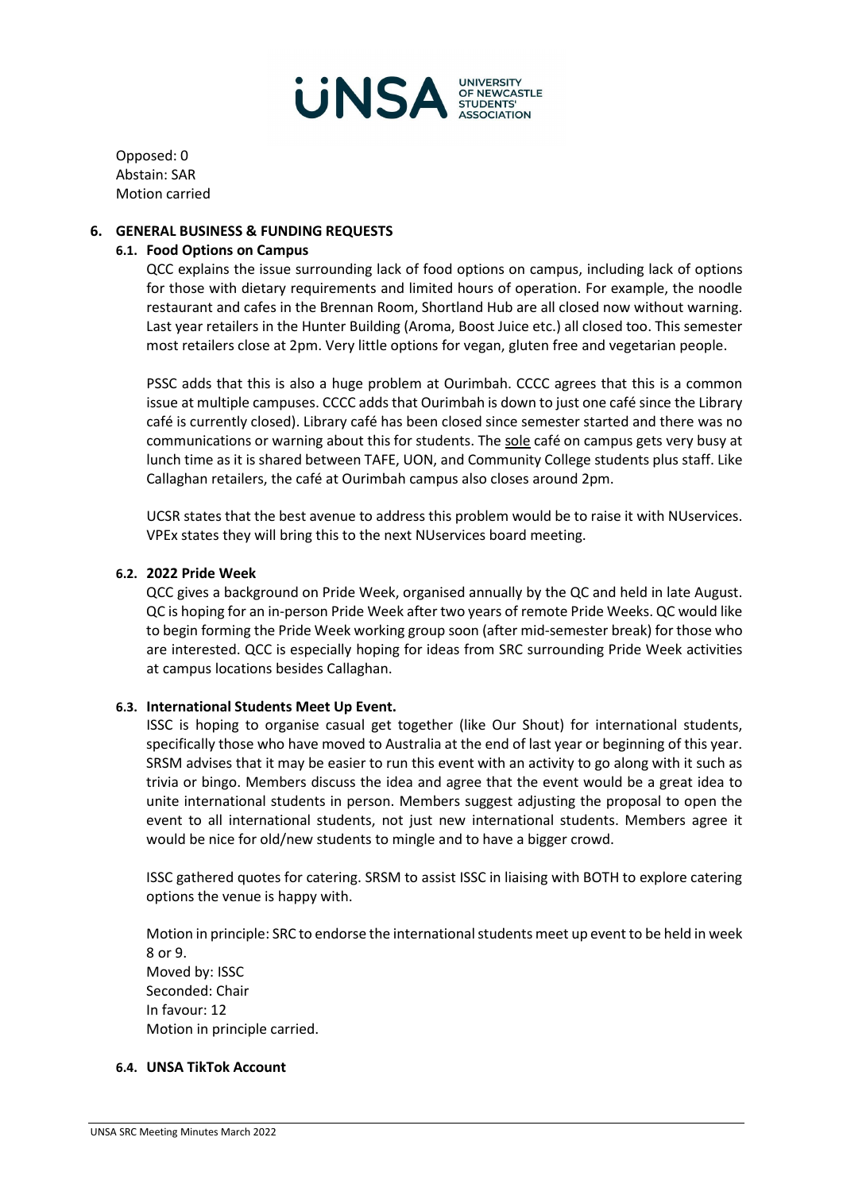

Opposed: 0 Abstain: SAR Motion carried

#### **6. GENERAL BUSINESS & FUNDING REQUESTS**

#### **6.1. Food Options on Campus**

QCC explains the issue surrounding lack of food options on campus, including lack of options for those with dietary requirements and limited hours of operation. For example, the noodle restaurant and cafes in the Brennan Room, Shortland Hub are all closed now without warning. Last year retailers in the Hunter Building (Aroma, Boost Juice etc.) all closed too. This semester most retailers close at 2pm. Very little options for vegan, gluten free and vegetarian people.

PSSC adds that this is also a huge problem at Ourimbah. CCCC agrees that this is a common issue at multiple campuses. CCCC adds that Ourimbah is down to just one café since the Library café is currently closed). Library café has been closed since semester started and there was no communications or warning about this for students. The sole café on campus gets very busy at lunch time as it is shared between TAFE, UON, and Community College students plus staff. Like Callaghan retailers, the café at Ourimbah campus also closes around 2pm.

UCSR states that the best avenue to address this problem would be to raise it with NUservices. VPEx states they will bring this to the next NUservices board meeting.

#### **6.2. 2022 Pride Week**

QCC gives a background on Pride Week, organised annually by the QC and held in late August. QC is hoping for an in-person Pride Week after two years of remote Pride Weeks. QC would like to begin forming the Pride Week working group soon (after mid-semester break) for those who are interested. QCC is especially hoping for ideas from SRC surrounding Pride Week activities at campus locations besides Callaghan.

#### **6.3. International Students Meet Up Event.**

ISSC is hoping to organise casual get together (like Our Shout) for international students, specifically those who have moved to Australia at the end of last year or beginning of this year. SRSM advises that it may be easier to run this event with an activity to go along with it such as trivia or bingo. Members discuss the idea and agree that the event would be a great idea to unite international students in person. Members suggest adjusting the proposal to open the event to all international students, not just new international students. Members agree it would be nice for old/new students to mingle and to have a bigger crowd.

ISSC gathered quotes for catering. SRSM to assist ISSC in liaising with BOTH to explore catering options the venue is happy with.

Motion in principle: SRC to endorse the international students meet up event to be held in week 8 or 9. Moved by: ISSC Seconded: Chair In favour: 12 Motion in principle carried.

#### **6.4. UNSA TikTok Account**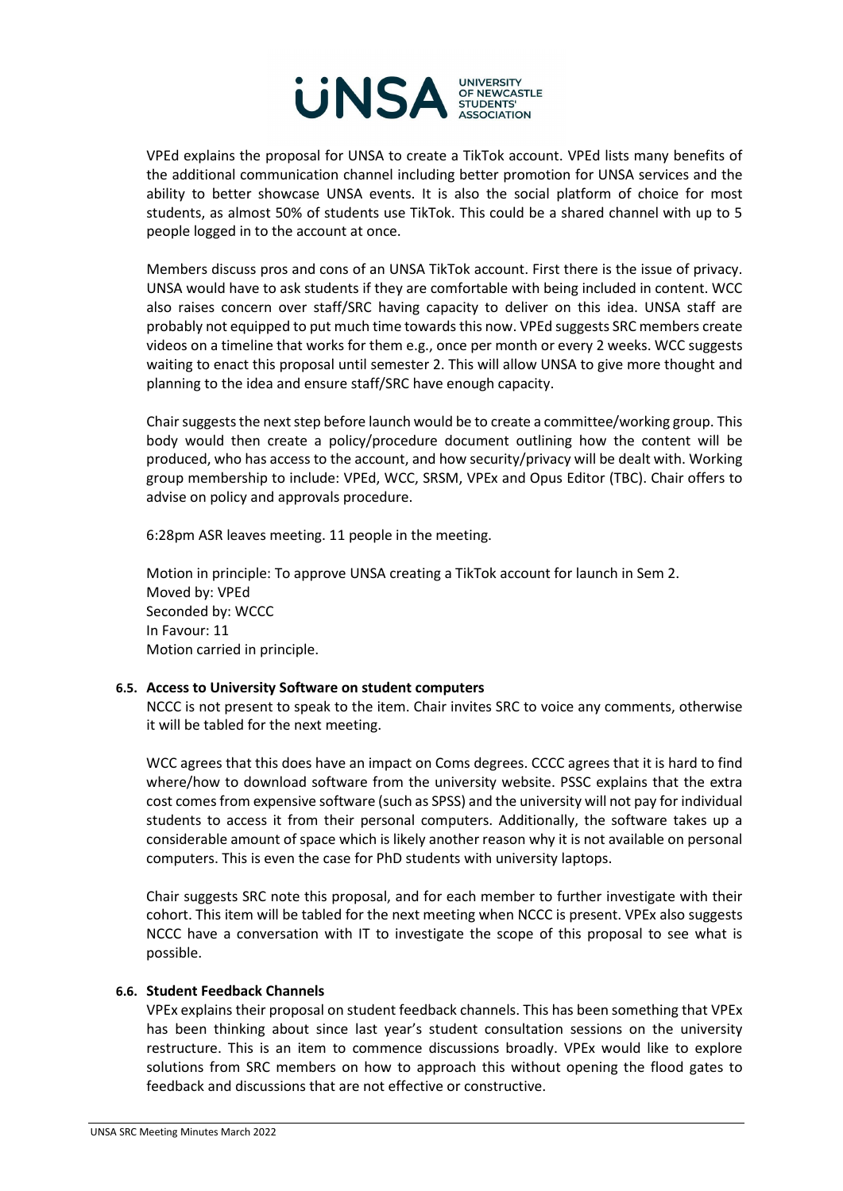

VPEd explains the proposal for UNSA to create a TikTok account. VPEd lists many benefits of the additional communication channel including better promotion for UNSA services and the ability to better showcase UNSA events. It is also the social platform of choice for most students, as almost 50% of students use TikTok. This could be a shared channel with up to 5 people logged in to the account at once.

Members discuss pros and cons of an UNSA TikTok account. First there is the issue of privacy. UNSA would have to ask students if they are comfortable with being included in content. WCC also raises concern over staff/SRC having capacity to deliver on this idea. UNSA staff are probably not equipped to put much time towards this now. VPEd suggests SRC members create videos on a timeline that works for them e.g., once per month or every 2 weeks. WCC suggests waiting to enact this proposal until semester 2. This will allow UNSA to give more thought and planning to the idea and ensure staff/SRC have enough capacity.

Chair suggests the next step before launch would be to create a committee/working group. This body would then create a policy/procedure document outlining how the content will be produced, who has access to the account, and how security/privacy will be dealt with. Working group membership to include: VPEd, WCC, SRSM, VPEx and Opus Editor (TBC). Chair offers to advise on policy and approvals procedure.

6:28pm ASR leaves meeting. 11 people in the meeting.

Motion in principle: To approve UNSA creating a TikTok account for launch in Sem 2. Moved by: VPEd Seconded by: WCCC In Favour: 11 Motion carried in principle.

#### **6.5. Access to University Software on student computers**

NCCC is not present to speak to the item. Chair invites SRC to voice any comments, otherwise it will be tabled for the next meeting.

WCC agrees that this does have an impact on Coms degrees. CCCC agrees that it is hard to find where/how to download software from the university website. PSSC explains that the extra cost comes from expensive software (such as SPSS) and the university will not pay for individual students to access it from their personal computers. Additionally, the software takes up a considerable amount of space which is likely another reason why it is not available on personal computers. This is even the case for PhD students with university laptops.

Chair suggests SRC note this proposal, and for each member to further investigate with their cohort. This item will be tabled for the next meeting when NCCC is present. VPEx also suggests NCCC have a conversation with IT to investigate the scope of this proposal to see what is possible.

#### **6.6. Student Feedback Channels**

VPEx explains their proposal on student feedback channels. This has been something that VPEx has been thinking about since last year's student consultation sessions on the university restructure. This is an item to commence discussions broadly. VPEx would like to explore solutions from SRC members on how to approach this without opening the flood gates to feedback and discussions that are not effective or constructive.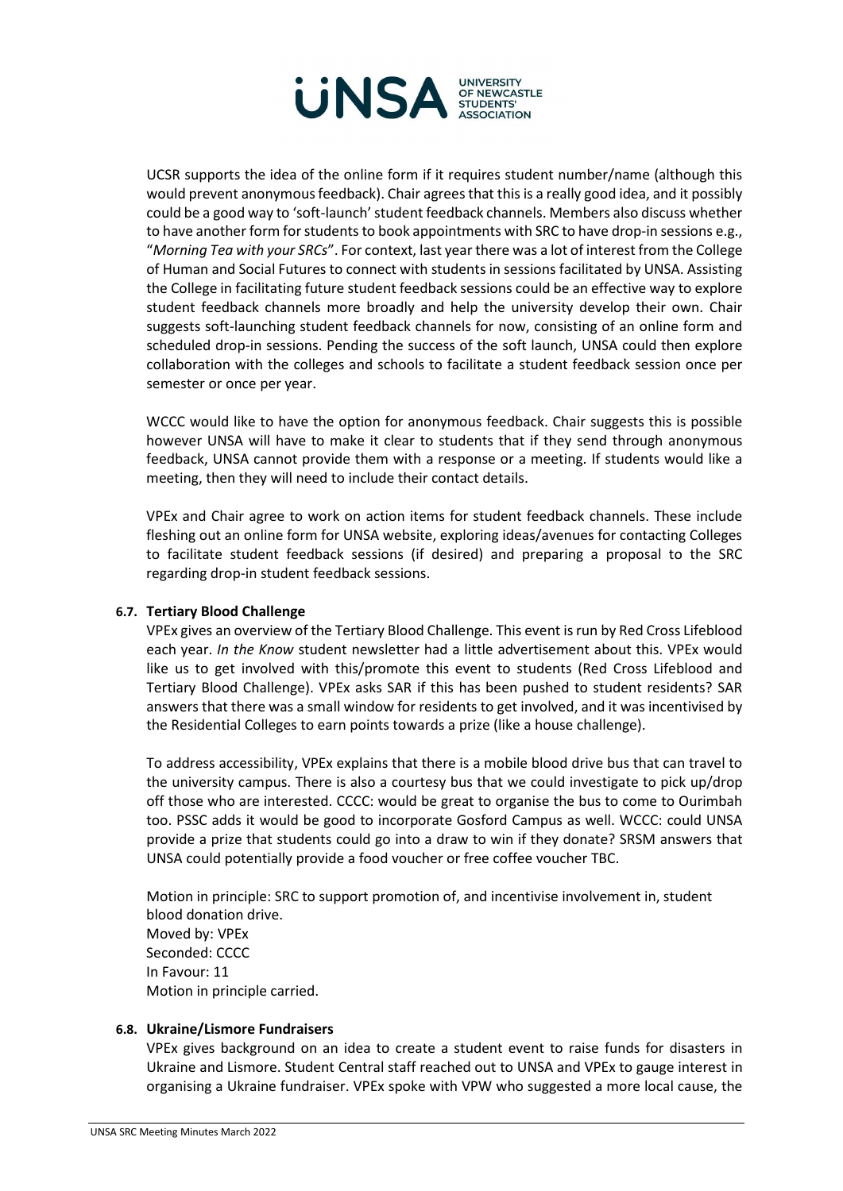

UCSR supports the idea of the online form if it requires student number/name (although this would prevent anonymous feedback). Chair agrees that this is a really good idea, and it possibly could be a good way to 'soft-launch' student feedback channels. Members also discuss whether to have another form for students to book appointments with SRC to have drop-in sessions e.g., "*Morning Tea with your SRCs*". For context, last year there was a lot of interest from the College of Human and Social Futures to connect with students in sessions facilitated by UNSA. Assisting the College in facilitating future student feedback sessions could be an effective way to explore student feedback channels more broadly and help the university develop their own. Chair suggests soft-launching student feedback channels for now, consisting of an online form and scheduled drop-in sessions. Pending the success of the soft launch, UNSA could then explore collaboration with the colleges and schools to facilitate a student feedback session once per semester or once per year.

WCCC would like to have the option for anonymous feedback. Chair suggests this is possible however UNSA will have to make it clear to students that if they send through anonymous feedback, UNSA cannot provide them with a response or a meeting. If students would like a meeting, then they will need to include their contact details.

VPEx and Chair agree to work on action items for student feedback channels. These include fleshing out an online form for UNSA website, exploring ideas/avenues for contacting Colleges to facilitate student feedback sessions (if desired) and preparing a proposal to the SRC regarding drop-in student feedback sessions.

#### **6.7. Tertiary Blood Challenge**

VPEx gives an overview of the Tertiary Blood Challenge. This event is run by Red Cross Lifeblood each year. *In the Know* student newsletter had a little advertisement about this. VPEx would like us to get involved with this/promote this event to students (Red Cross Lifeblood and Tertiary Blood Challenge). VPEx asks SAR if this has been pushed to student residents? SAR answers that there was a small window for residents to get involved, and it was incentivised by the Residential Colleges to earn points towards a prize (like a house challenge).

To address accessibility, VPEx explains that there is a mobile blood drive bus that can travel to the university campus. There is also a courtesy bus that we could investigate to pick up/drop off those who are interested. CCCC: would be great to organise the bus to come to Ourimbah too. PSSC adds it would be good to incorporate Gosford Campus as well. WCCC: could UNSA provide a prize that students could go into a draw to win if they donate? SRSM answers that UNSA could potentially provide a food voucher or free coffee voucher TBC.

Motion in principle: SRC to support promotion of, and incentivise involvement in, student blood donation drive. Moved by: VPEx Seconded: CCCC In Favour: 11 Motion in principle carried.

#### **6.8. Ukraine/Lismore Fundraisers**

VPEx gives background on an idea to create a student event to raise funds for disasters in Ukraine and Lismore. Student Central staff reached out to UNSA and VPEx to gauge interest in organising a Ukraine fundraiser. VPEx spoke with VPW who suggested a more local cause, the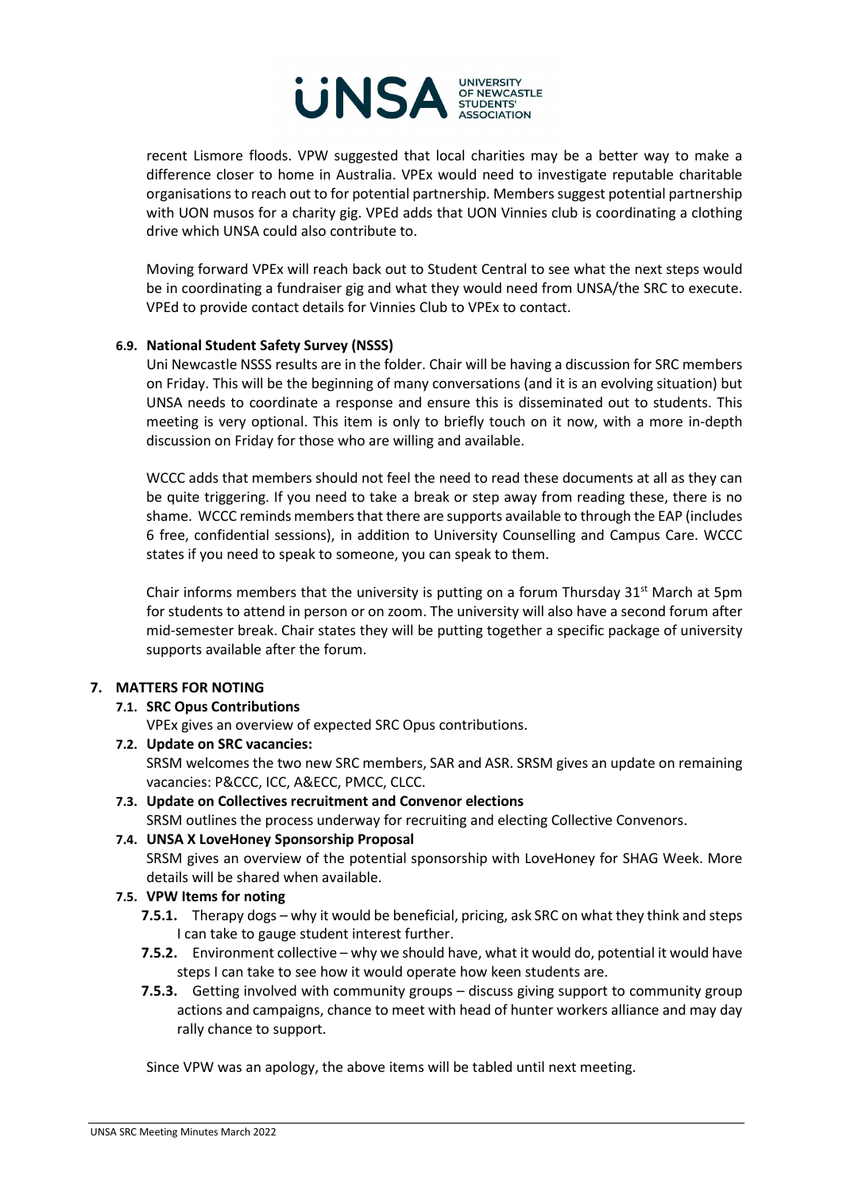

recent Lismore floods. VPW suggested that local charities may be a better way to make a difference closer to home in Australia. VPEx would need to investigate reputable charitable organisations to reach out to for potential partnership. Members suggest potential partnership with UON musos for a charity gig. VPEd adds that UON Vinnies club is coordinating a clothing drive which UNSA could also contribute to.

Moving forward VPEx will reach back out to Student Central to see what the next steps would be in coordinating a fundraiser gig and what they would need from UNSA/the SRC to execute. VPEd to provide contact details for Vinnies Club to VPEx to contact.

### **6.9. National Student Safety Survey (NSSS)**

Uni Newcastle NSSS results are in the folder. Chair will be having a discussion for SRC members on Friday. This will be the beginning of many conversations (and it is an evolving situation) but UNSA needs to coordinate a response and ensure this is disseminated out to students. This meeting is very optional. This item is only to briefly touch on it now, with a more in-depth discussion on Friday for those who are willing and available.

WCCC adds that members should not feel the need to read these documents at all as they can be quite triggering. If you need to take a break or step away from reading these, there is no shame. WCCC reminds members that there are supports available to through the EAP (includes 6 free, confidential sessions), in addition to University Counselling and Campus Care. WCCC states if you need to speak to someone, you can speak to them.

Chair informs members that the university is putting on a forum Thursday  $31^{st}$  March at 5pm for students to attend in person or on zoom. The university will also have a second forum after mid-semester break. Chair states they will be putting together a specific package of university supports available after the forum.

#### **7. MATTERS FOR NOTING**

#### **7.1. SRC Opus Contributions**

VPEx gives an overview of expected SRC Opus contributions.

**7.2. Update on SRC vacancies:**  SRSM welcomes the two new SRC members, SAR and ASR. SRSM gives an update on remaining vacancies: P&CCC, ICC, A&ECC, PMCC, CLCC.

## **7.3. Update on Collectives recruitment and Convenor elections**

SRSM outlines the process underway for recruiting and electing Collective Convenors.

## **7.4. UNSA X LoveHoney Sponsorship Proposal**

SRSM gives an overview of the potential sponsorship with LoveHoney for SHAG Week. More details will be shared when available.

#### **7.5. VPW Items for noting**

- **7.5.1.** Therapy dogs why it would be beneficial, pricing, ask SRC on what they think and steps I can take to gauge student interest further.
- **7.5.2.** Environment collective why we should have, what it would do, potential it would have steps I can take to see how it would operate how keen students are.
- **7.5.3.** Getting involved with community groups discuss giving support to community group actions and campaigns, chance to meet with head of hunter workers alliance and may day rally chance to support.

Since VPW was an apology, the above items will be tabled until next meeting.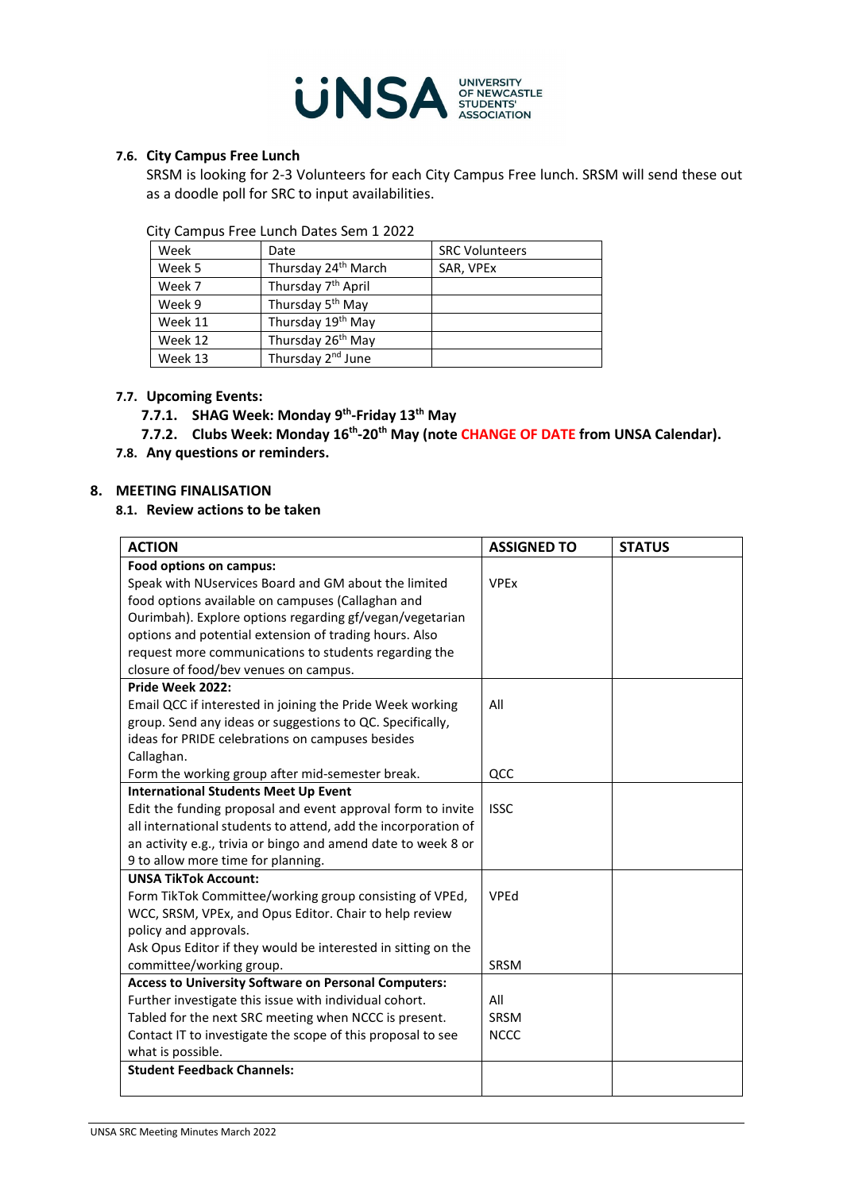

#### **7.6. City Campus Free Lunch**

SRSM is looking for 2-3 Volunteers for each City Campus Free lunch. SRSM will send these out as a doodle poll for SRC to input availabilities.

City Campus Free Lunch Dates Sem 1 2022

| Week    | Date                            | <b>SRC Volunteers</b> |
|---------|---------------------------------|-----------------------|
| Week 5  | Thursday 24 <sup>th</sup> March | SAR, VPEx             |
| Week 7  | Thursday 7 <sup>th</sup> April  |                       |
| Week 9  | Thursday 5 <sup>th</sup> May    |                       |
| Week 11 | Thursday 19th May               |                       |
| Week 12 | Thursday 26 <sup>th</sup> May   |                       |
| Week 13 | Thursday 2 <sup>nd</sup> June   |                       |

## **7.7. Upcoming Events:**

**7.7.1. SHAG Week: Monday 9th-Friday 13th May**

### 7.7.2. Clubs Week: Monday 16<sup>th</sup>-20<sup>th</sup> May (note CHANGE OF DATE from UNSA Calendar).

**7.8. Any questions or reminders.**

### **8. MEETING FINALISATION**

#### **8.1. Review actions to be taken**

| <b>ACTION</b>                                                  | <b>ASSIGNED TO</b> | <b>STATUS</b> |
|----------------------------------------------------------------|--------------------|---------------|
| Food options on campus:                                        |                    |               |
| Speak with NUservices Board and GM about the limited           | <b>VPEx</b>        |               |
| food options available on campuses (Callaghan and              |                    |               |
| Ourimbah). Explore options regarding gf/vegan/vegetarian       |                    |               |
| options and potential extension of trading hours. Also         |                    |               |
| request more communications to students regarding the          |                    |               |
| closure of food/bev venues on campus.                          |                    |               |
| Pride Week 2022:                                               |                    |               |
| Email QCC if interested in joining the Pride Week working      | All                |               |
| group. Send any ideas or suggestions to QC. Specifically,      |                    |               |
| ideas for PRIDE celebrations on campuses besides               |                    |               |
| Callaghan.                                                     |                    |               |
| Form the working group after mid-semester break.               | QCC                |               |
| <b>International Students Meet Up Event</b>                    |                    |               |
| Edit the funding proposal and event approval form to invite    | <b>ISSC</b>        |               |
| all international students to attend, add the incorporation of |                    |               |
| an activity e.g., trivia or bingo and amend date to week 8 or  |                    |               |
| 9 to allow more time for planning.                             |                    |               |
| <b>UNSA TikTok Account:</b>                                    |                    |               |
| Form TikTok Committee/working group consisting of VPEd,        | VPEd               |               |
| WCC, SRSM, VPEx, and Opus Editor. Chair to help review         |                    |               |
| policy and approvals.                                          |                    |               |
| Ask Opus Editor if they would be interested in sitting on the  |                    |               |
| committee/working group.                                       | <b>SRSM</b>        |               |
| <b>Access to University Software on Personal Computers:</b>    |                    |               |
| Further investigate this issue with individual cohort.         | All                |               |
| Tabled for the next SRC meeting when NCCC is present.          | <b>SRSM</b>        |               |
| Contact IT to investigate the scope of this proposal to see    | <b>NCCC</b>        |               |
| what is possible.                                              |                    |               |
| <b>Student Feedback Channels:</b>                              |                    |               |
|                                                                |                    |               |